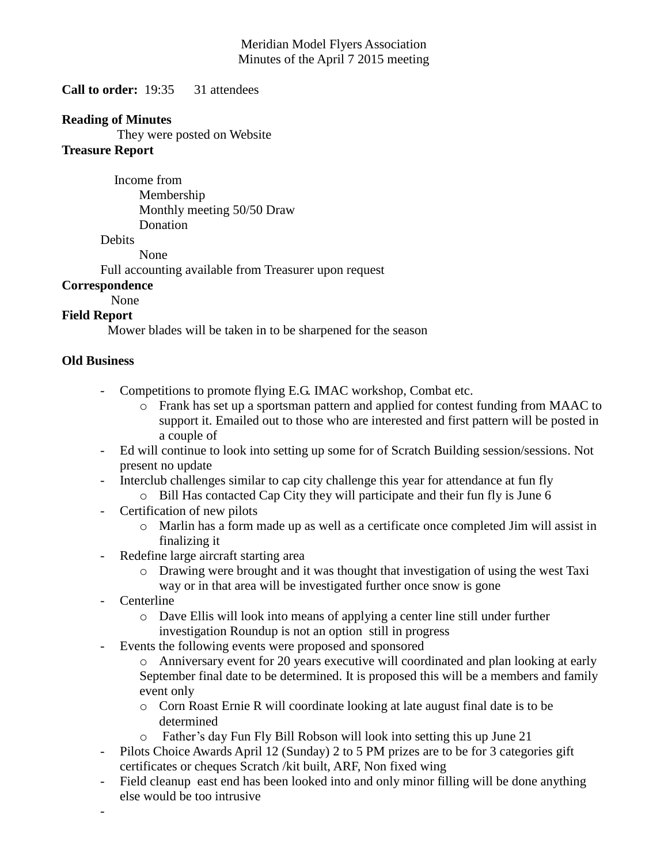## Meridian Model Flyers Association Minutes of the April 7 2015 meeting

**Call to order:** 19:35 31 attendees

## **Reading of Minutes**

They were posted on Website

## **Treasure Report**

 Income from Membership Monthly meeting 50/50 Draw Donation

**Debits** 

None

Full accounting available from Treasurer upon request

# **Correspondence**

None

### **Field Report**

Mower blades will be taken in to be sharpened for the season

# **Old Business**

- Competitions to promote flying E.G. IMAC workshop, Combat etc.
	- o Frank has set up a sportsman pattern and applied for contest funding from MAAC to support it. Emailed out to those who are interested and first pattern will be posted in a couple of
- Ed will continue to look into setting up some for of Scratch Building session/sessions. Not present no update
- Interclub challenges similar to cap city challenge this year for attendance at fun fly
	- o Bill Has contacted Cap City they will participate and their fun fly is June 6
- Certification of new pilots
	- o Marlin has a form made up as well as a certificate once completed Jim will assist in finalizing it
- Redefine large aircraft starting area
	- o Drawing were brought and it was thought that investigation of using the west Taxi way or in that area will be investigated further once snow is gone
- **Centerline**

-

- o Dave Ellis will look into means of applying a center line still under further investigation Roundup is not an option still in progress
- Events the following events were proposed and sponsored
	- o Anniversary event for 20 years executive will coordinated and plan looking at early September final date to be determined. It is proposed this will be a members and family event only
	- o Corn Roast Ernie R will coordinate looking at late august final date is to be determined
	- o Father's day Fun Fly Bill Robson will look into setting this up June 21
- Pilots Choice Awards April 12 (Sunday) 2 to 5 PM prizes are to be for 3 categories gift certificates or cheques Scratch /kit built, ARF, Non fixed wing
- Field cleanup east end has been looked into and only minor filling will be done anything else would be too intrusive